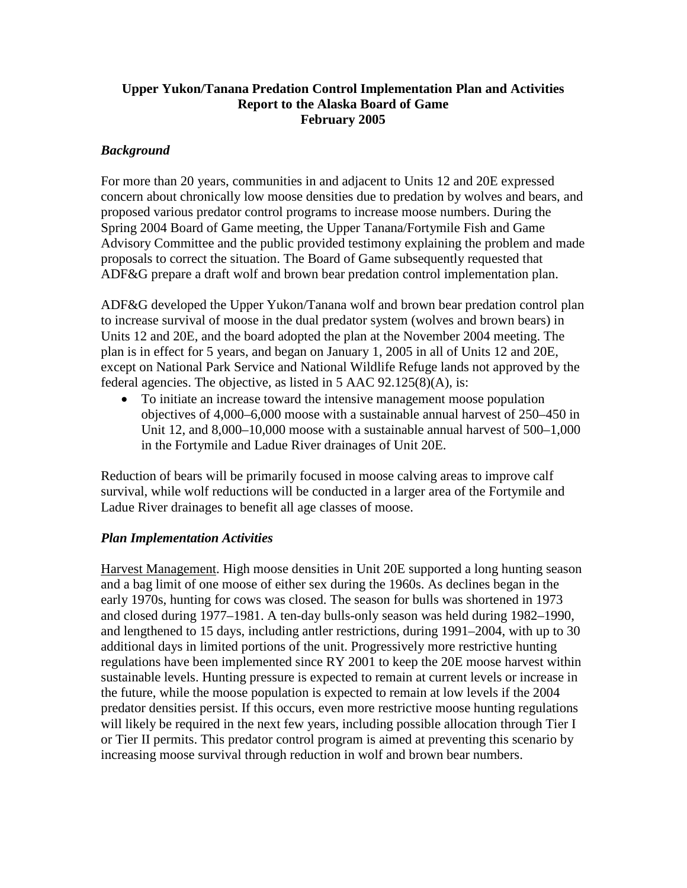# **Upper Yukon/Tanana Predation Control Implementation Plan and Activities Report to the Alaska Board of Game February 2005**

# *Background*

For more than 20 years, communities in and adjacent to Units 12 and 20E expressed concern about chronically low moose densities due to predation by wolves and bears, and proposed various predator control programs to increase moose numbers. During the Spring 2004 Board of Game meeting, the Upper Tanana/Fortymile Fish and Game Advisory Committee and the public provided testimony explaining the problem and made proposals to correct the situation. The Board of Game subsequently requested that ADF&G prepare a draft wolf and brown bear predation control implementation plan.

ADF&G developed the Upper Yukon/Tanana wolf and brown bear predation control plan to increase survival of moose in the dual predator system (wolves and brown bears) in Units 12 and 20E, and the board adopted the plan at the November 2004 meeting. The plan is in effect for 5 years, and began on January 1, 2005 in all of Units 12 and 20E, except on National Park Service and National Wildlife Refuge lands not approved by the federal agencies. The objective, as listed in 5 AAC 92.125(8)(A), is:

• To initiate an increase toward the intensive management moose population objectives of 4,000–6,000 moose with a sustainable annual harvest of 250–450 in Unit 12, and 8,000–10,000 moose with a sustainable annual harvest of 500–1,000 in the Fortymile and Ladue River drainages of Unit 20E.

Reduction of bears will be primarily focused in moose calving areas to improve calf survival, while wolf reductions will be conducted in a larger area of the Fortymile and Ladue River drainages to benefit all age classes of moose.

### *Plan Implementation Activities*

Harvest Management. High moose densities in Unit 20E supported a long hunting season and a bag limit of one moose of either sex during the 1960s. As declines began in the early 1970s, hunting for cows was closed. The season for bulls was shortened in 1973 and closed during 1977–1981. A ten-day bulls-only season was held during 1982–1990, and lengthened to 15 days, including antler restrictions, during 1991–2004, with up to 30 additional days in limited portions of the unit. Progressively more restrictive hunting regulations have been implemented since RY 2001 to keep the 20E moose harvest within sustainable levels. Hunting pressure is expected to remain at current levels or increase in the future, while the moose population is expected to remain at low levels if the 2004 predator densities persist. If this occurs, even more restrictive moose hunting regulations will likely be required in the next few years, including possible allocation through Tier I or Tier II permits. This predator control program is aimed at preventing this scenario by increasing moose survival through reduction in wolf and brown bear numbers.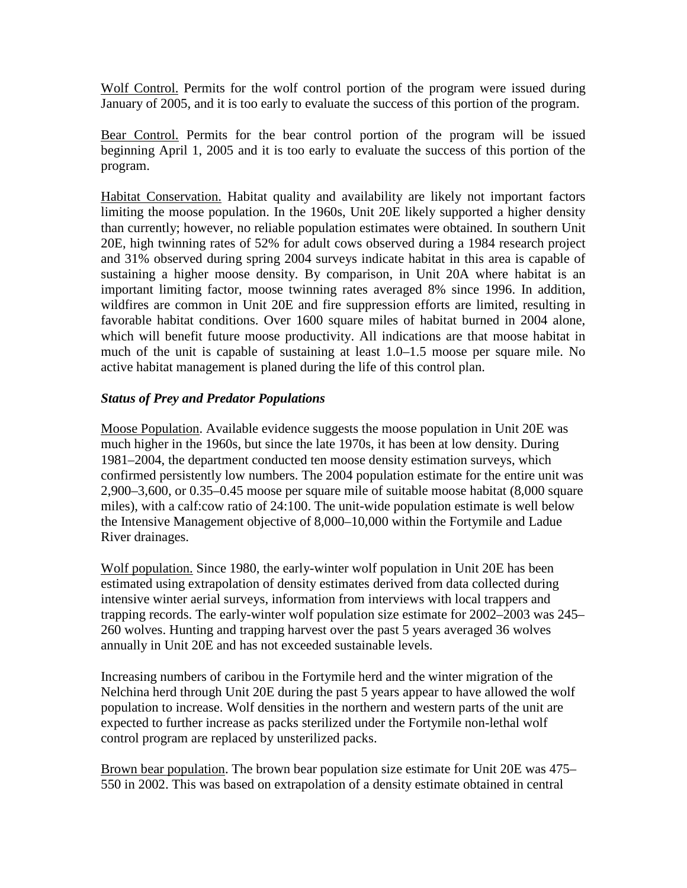Wolf Control. Permits for the wolf control portion of the program were issued during January of 2005, and it is too early to evaluate the success of this portion of the program.

Bear Control. Permits for the bear control portion of the program will be issued beginning April 1, 2005 and it is too early to evaluate the success of this portion of the program.

Habitat Conservation. Habitat quality and availability are likely not important factors limiting the moose population. In the 1960s, Unit 20E likely supported a higher density than currently; however, no reliable population estimates were obtained. In southern Unit 20E, high twinning rates of 52% for adult cows observed during a 1984 research project and 31% observed during spring 2004 surveys indicate habitat in this area is capable of sustaining a higher moose density. By comparison, in Unit 20A where habitat is an important limiting factor, moose twinning rates averaged 8% since 1996. In addition, wildfires are common in Unit 20E and fire suppression efforts are limited, resulting in favorable habitat conditions. Over 1600 square miles of habitat burned in 2004 alone, which will benefit future moose productivity. All indications are that moose habitat in much of the unit is capable of sustaining at least 1.0–1.5 moose per square mile. No active habitat management is planed during the life of this control plan.

## *Status of Prey and Predator Populations*

Moose Population. Available evidence suggests the moose population in Unit 20E was much higher in the 1960s, but since the late 1970s, it has been at low density. During 1981–2004, the department conducted ten moose density estimation surveys, which confirmed persistently low numbers. The 2004 population estimate for the entire unit was 2,900–3,600, or 0.35–0.45 moose per square mile of suitable moose habitat (8,000 square miles), with a calf:cow ratio of 24:100. The unit-wide population estimate is well below the Intensive Management objective of 8,000–10,000 within the Fortymile and Ladue River drainages.

Wolf population. Since 1980, the early-winter wolf population in Unit 20E has been estimated using extrapolation of density estimates derived from data collected during intensive winter aerial surveys, information from interviews with local trappers and trapping records. The early-winter wolf population size estimate for 2002–2003 was 245– 260 wolves. Hunting and trapping harvest over the past 5 years averaged 36 wolves annually in Unit 20E and has not exceeded sustainable levels.

Increasing numbers of caribou in the Fortymile herd and the winter migration of the Nelchina herd through Unit 20E during the past 5 years appear to have allowed the wolf population to increase. Wolf densities in the northern and western parts of the unit are expected to further increase as packs sterilized under the Fortymile non-lethal wolf control program are replaced by unsterilized packs.

Brown bear population. The brown bear population size estimate for Unit 20E was 475– 550 in 2002. This was based on extrapolation of a density estimate obtained in central